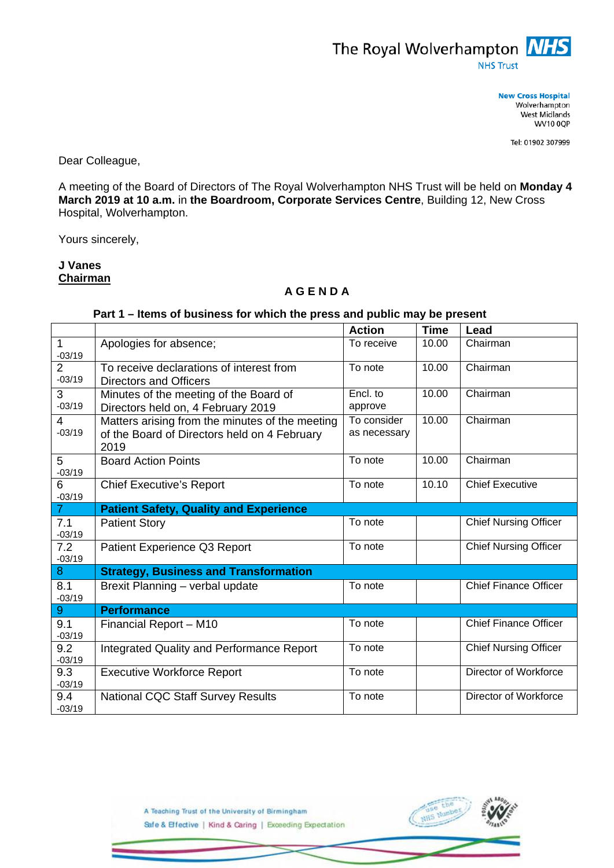

**New Cross Hospital** Wolverhampton West Midlands **WV10 0QP** 

Tel: 01902 307999

Dear Colleague,

A meeting of the Board of Directors of The Royal Wolverhampton NHS Trust will be held on **Monday 4 March 2019 at 10 a.m.** in **the Boardroom, Corporate Services Centre**, Building 12, New Cross Hospital, Wolverhampton.

Yours sincerely,

## **J Vanes Chairman**

## **A G E N D A**

## **Part 1 – Items of business for which the press and public may be present**

|                            |                                                                                                         | <b>Action</b>               | <b>Time</b> | Lead                         |
|----------------------------|---------------------------------------------------------------------------------------------------------|-----------------------------|-------------|------------------------------|
| $-03/19$                   | Apologies for absence;                                                                                  | To receive                  | 10.00       | Chairman                     |
| $\overline{2}$<br>$-03/19$ | To receive declarations of interest from<br><b>Directors and Officers</b>                               | To note                     | 10.00       | Chairman                     |
| 3<br>$-03/19$              | Minutes of the meeting of the Board of<br>Directors held on, 4 February 2019                            | Encl. to<br>approve         | 10.00       | Chairman                     |
| 4<br>$-03/19$              | Matters arising from the minutes of the meeting<br>of the Board of Directors held on 4 February<br>2019 | To consider<br>as necessary | 10.00       | Chairman                     |
| 5<br>$-03/19$              | <b>Board Action Points</b>                                                                              | To note                     | 10.00       | Chairman                     |
| 6<br>$-03/19$              | <b>Chief Executive's Report</b>                                                                         | To note                     | 10.10       | <b>Chief Executive</b>       |
| $\overline{7}$             | <b>Patient Safety, Quality and Experience</b>                                                           |                             |             |                              |
| 7.1<br>$-03/19$            | <b>Patient Story</b>                                                                                    | To note                     |             | <b>Chief Nursing Officer</b> |
| 7.2<br>$-03/19$            | Patient Experience Q3 Report                                                                            | To note                     |             | <b>Chief Nursing Officer</b> |
| 8                          | <b>Strategy, Business and Transformation</b>                                                            |                             |             |                              |
| 8.1<br>$-03/19$            | Brexit Planning - verbal update                                                                         | To note                     |             | <b>Chief Finance Officer</b> |
| 9 <sup>°</sup>             | <b>Performance</b>                                                                                      |                             |             |                              |
| 9.1<br>$-03/19$            | Financial Report - M10                                                                                  | To note                     |             | <b>Chief Finance Officer</b> |
| 9.2<br>$-03/19$            | Integrated Quality and Performance Report                                                               | To note                     |             | <b>Chief Nursing Officer</b> |
| 9.3<br>$-03/19$            | <b>Executive Workforce Report</b>                                                                       | To note                     |             | Director of Workforce        |
| 9.4<br>$-03/19$            | <b>National CQC Staff Survey Results</b>                                                                | To note                     |             | <b>Director of Workforce</b> |



A Teaching Trust of the University of Birmingham Safe & Effective | Kind & Caring | Exceeding Expectation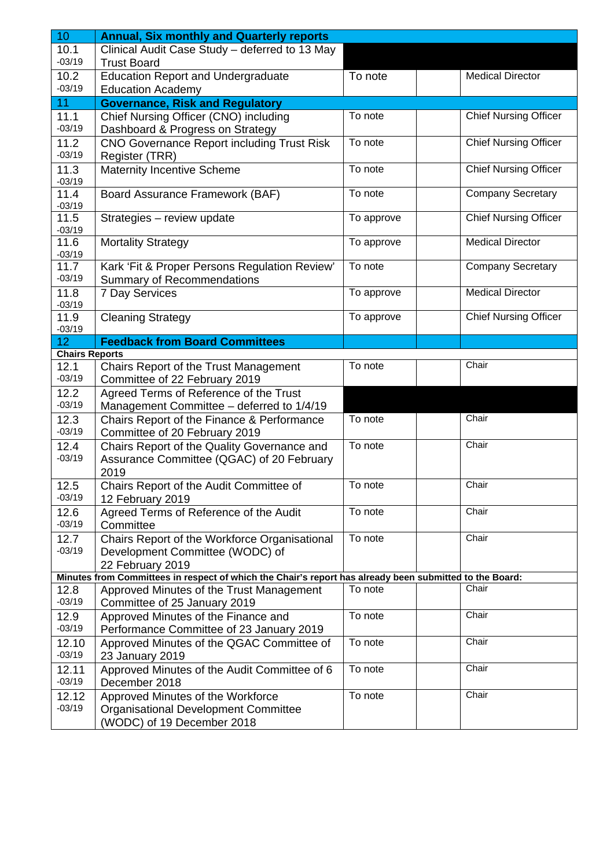| 10                    | <b>Annual, Six monthly and Quarterly reports</b>                                                        |            |                              |  |  |  |  |  |  |  |
|-----------------------|---------------------------------------------------------------------------------------------------------|------------|------------------------------|--|--|--|--|--|--|--|
| 10.1<br>$-03/19$      | Clinical Audit Case Study - deferred to 13 May<br><b>Trust Board</b>                                    |            |                              |  |  |  |  |  |  |  |
| 10.2<br>$-03/19$      | <b>Education Report and Undergraduate</b><br><b>Education Academy</b>                                   | To note    | <b>Medical Director</b>      |  |  |  |  |  |  |  |
| 11                    | <b>Governance, Risk and Regulatory</b>                                                                  |            |                              |  |  |  |  |  |  |  |
| 11.1                  | Chief Nursing Officer (CNO) including                                                                   | To note    | <b>Chief Nursing Officer</b> |  |  |  |  |  |  |  |
| $-03/19$              | Dashboard & Progress on Strategy                                                                        |            |                              |  |  |  |  |  |  |  |
| 11.2                  | <b>CNO Governance Report including Trust Risk</b>                                                       | To note    | <b>Chief Nursing Officer</b> |  |  |  |  |  |  |  |
| $-03/19$              | Register (TRR)                                                                                          |            |                              |  |  |  |  |  |  |  |
| 11.3<br>$-03/19$      | <b>Maternity Incentive Scheme</b>                                                                       | To note    | <b>Chief Nursing Officer</b> |  |  |  |  |  |  |  |
| 11.4<br>$-03/19$      | Board Assurance Framework (BAF)                                                                         | To note    | <b>Company Secretary</b>     |  |  |  |  |  |  |  |
| 11.5<br>$-03/19$      | Strategies - review update                                                                              | To approve | Chief Nursing Officer        |  |  |  |  |  |  |  |
| 11.6<br>$-03/19$      | <b>Mortality Strategy</b>                                                                               | To approve | <b>Medical Director</b>      |  |  |  |  |  |  |  |
| 11.7<br>$-03/19$      | Kark 'Fit & Proper Persons Regulation Review'<br>Summary of Recommendations                             | To note    | <b>Company Secretary</b>     |  |  |  |  |  |  |  |
| 11.8<br>$-03/19$      | 7 Day Services                                                                                          | To approve | <b>Medical Director</b>      |  |  |  |  |  |  |  |
| 11.9<br>$-03/19$      | <b>Cleaning Strategy</b>                                                                                | To approve | <b>Chief Nursing Officer</b> |  |  |  |  |  |  |  |
| 12 <sub>2</sub>       | <b>Feedback from Board Committees</b>                                                                   |            |                              |  |  |  |  |  |  |  |
| <b>Chairs Reports</b> |                                                                                                         |            |                              |  |  |  |  |  |  |  |
| 12.1<br>$-03/19$      | Chairs Report of the Trust Management<br>Committee of 22 February 2019                                  | To note    | Chair                        |  |  |  |  |  |  |  |
| 12.2                  | Agreed Terms of Reference of the Trust                                                                  |            |                              |  |  |  |  |  |  |  |
| $-03/19$              | Management Committee - deferred to 1/4/19                                                               |            |                              |  |  |  |  |  |  |  |
| 12.3<br>$-03/19$      | Chairs Report of the Finance & Performance<br>Committee of 20 February 2019                             | To note    | Chair                        |  |  |  |  |  |  |  |
| 12.4<br>$-03/19$      | Chairs Report of the Quality Governance and<br>Assurance Committee (QGAC) of 20 February<br>2019        | To note    | Chair                        |  |  |  |  |  |  |  |
| 12.5<br>$-03/19$      | Chairs Report of the Audit Committee of<br>12 February 2019                                             | To note    | Chair                        |  |  |  |  |  |  |  |
| 12.6<br>$-03/19$      | Agreed Terms of Reference of the Audit<br>Committee                                                     | To note    | Chair                        |  |  |  |  |  |  |  |
| 12.7                  | Chairs Report of the Workforce Organisational                                                           | To note    | Chair                        |  |  |  |  |  |  |  |
| $-03/19$              | Development Committee (WODC) of                                                                         |            |                              |  |  |  |  |  |  |  |
|                       | 22 February 2019                                                                                        |            |                              |  |  |  |  |  |  |  |
|                       | Minutes from Committees in respect of which the Chair's report has already been submitted to the Board: |            |                              |  |  |  |  |  |  |  |
| 12.8<br>$-03/19$      | Approved Minutes of the Trust Management<br>Committee of 25 January 2019                                | To note    | Chair                        |  |  |  |  |  |  |  |
| 12.9<br>$-03/19$      | Approved Minutes of the Finance and<br>Performance Committee of 23 January 2019                         | To note    | Chair                        |  |  |  |  |  |  |  |
| 12.10<br>$-03/19$     | Approved Minutes of the QGAC Committee of<br>23 January 2019                                            | To note    | Chair                        |  |  |  |  |  |  |  |
| 12.11<br>$-03/19$     | Approved Minutes of the Audit Committee of 6<br>December 2018                                           | To note    | Chair                        |  |  |  |  |  |  |  |
| 12.12                 | Approved Minutes of the Workforce                                                                       | To note    | Chair                        |  |  |  |  |  |  |  |
| $-03/19$              | <b>Organisational Development Committee</b><br>(WODC) of 19 December 2018                               |            |                              |  |  |  |  |  |  |  |